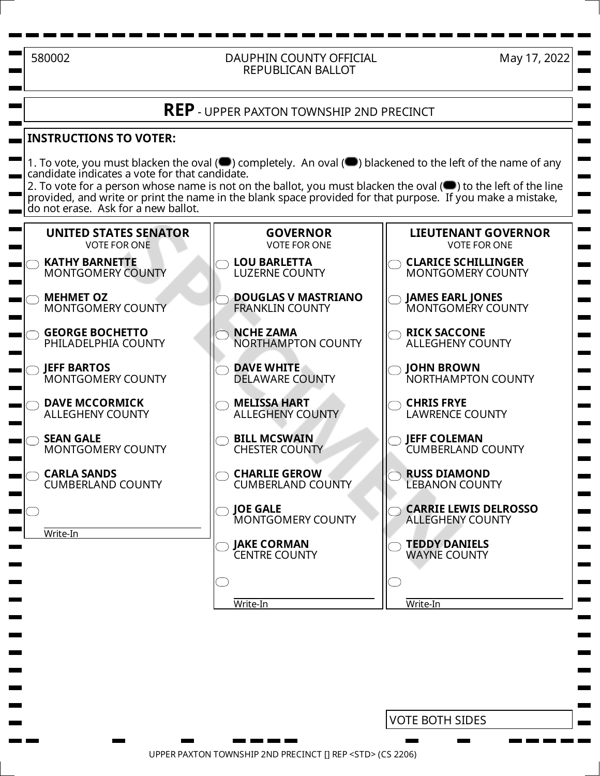## 580002 DAUPHIN COUNTY OFFICIAL REPUBLICAN BALLOT

May 17, 2022

## **REP** - UPPER PAXTON TOWNSHIP 2ND PRECINCT

## **INSTRUCTIONS TO VOTER:**

1. To vote, you must blacken the oval ( $\blacksquare$ ) completely. An oval ( $\blacksquare$ ) blackened to the left of the name of any candidate indicates a vote for that candidate.

2. To vote for a person whose name is not on the ballot, you must blacken the oval  $($ **)** to the left of the line provided, and write or print the name in the blank space provided for that purpose. If you make a mistake, do not erase. Ask for a new ballot.



VOTE BOTH SIDES